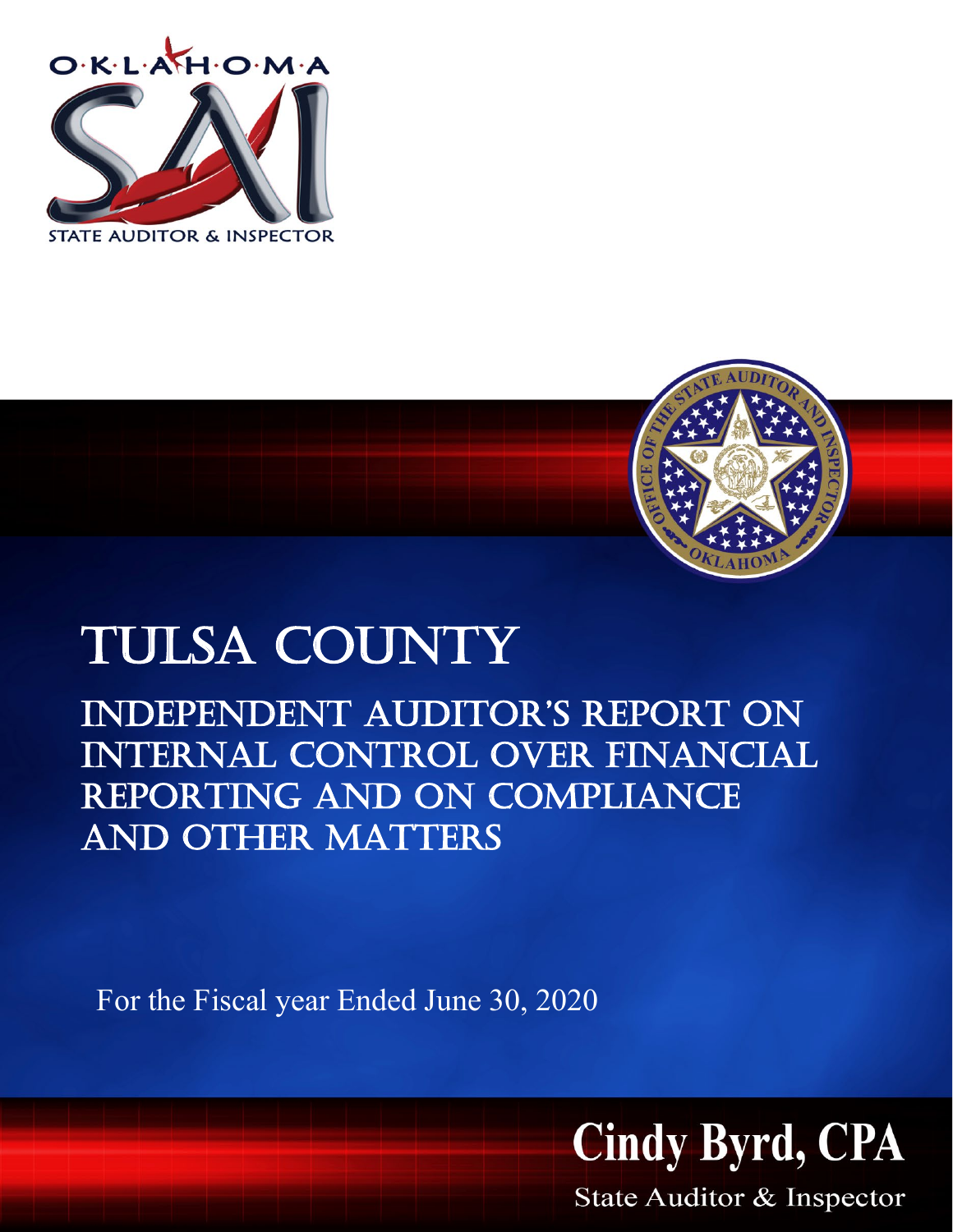



# Tulsa county

independent auditor's report on internal control over financial reporting and on compliance and other matters

For the Fiscal year Ended June 30, 2020



State Auditor & Inspector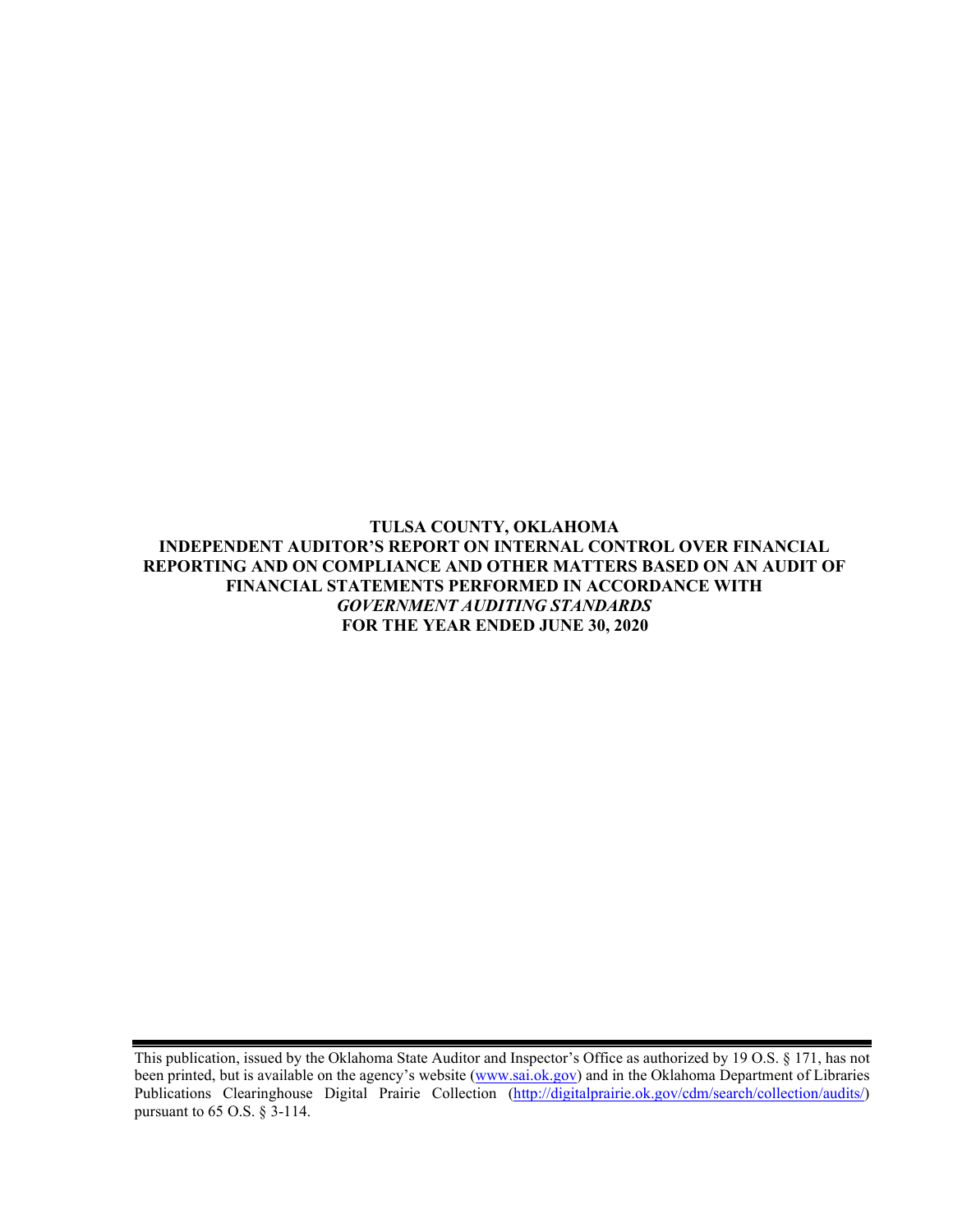**TULSA COUNTY, OKLAHOMA INDEPENDENT AUDITOR'S REPORT ON INTERNAL CONTROL OVER FINANCIAL REPORTING AND ON COMPLIANCE AND OTHER MATTERS BASED ON AN AUDIT OF FINANCIAL STATEMENTS PERFORMED IN ACCORDANCE WITH**  *GOVERNMENT AUDITING STANDARDS* **FOR THE YEAR ENDED JUNE 30, 2020**

This publication, issued by the Oklahoma State Auditor and Inspector's Office as authorized by 19 O.S. § 171, has not been printed, but is available on the agency's website [\(www.sai.ok.gov\)](http://www.sai.ok.gov/) and in the Oklahoma Department of Libraries Publications Clearinghouse Digital Prairie Collection [\(http://digitalprairie.ok.gov/cdm/search/collection/audits/\)](http://digitalprairie.ok.gov/cdm/search/collection/audits/) pursuant to 65 O.S. § 3-114.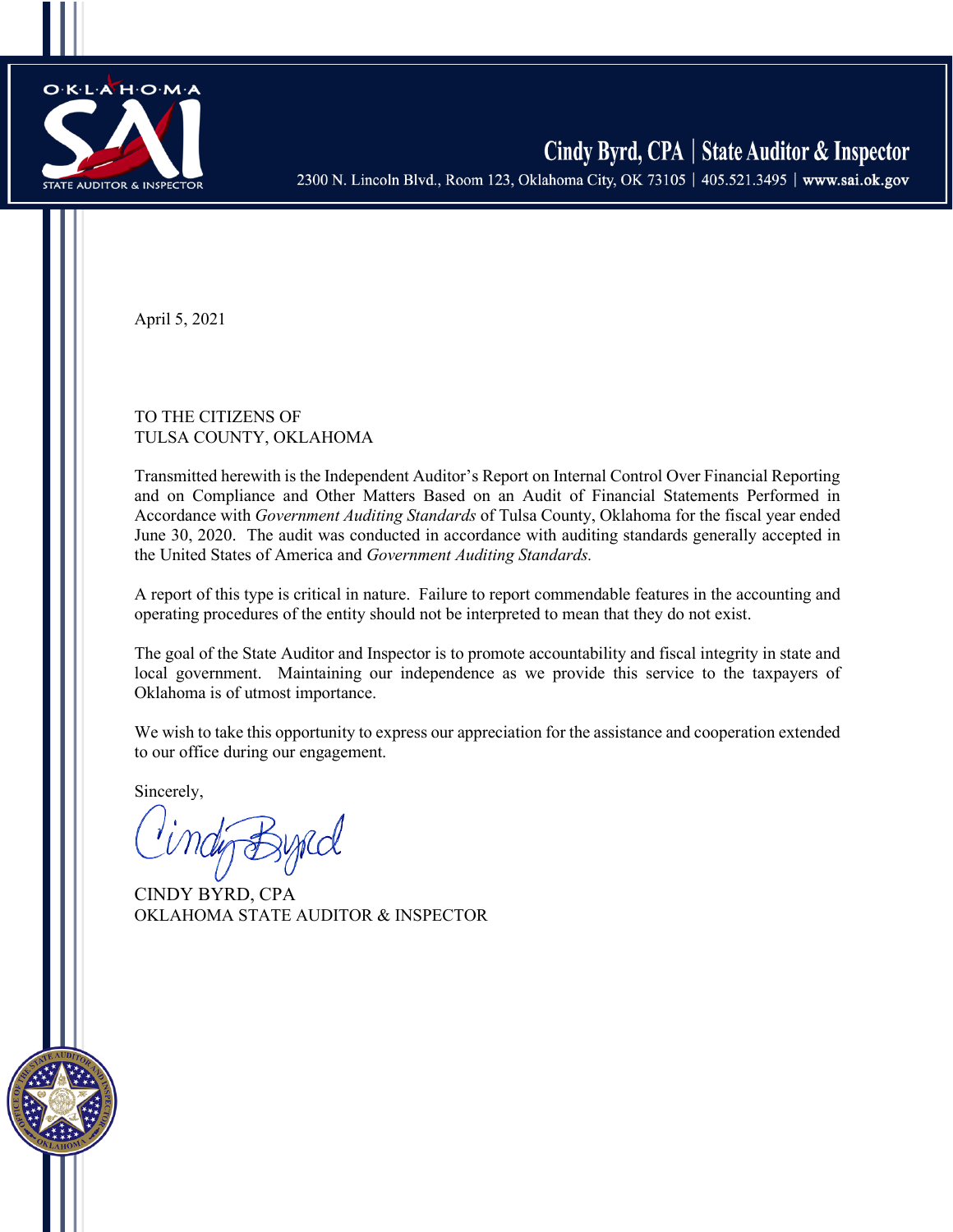

Cindy Byrd, CPA | State Auditor & Inspector 2300 N. Lincoln Blvd., Room 123, Oklahoma City, OK 73105 | 405.521.3495 | www.sai.ok.gov

April 5, 2021

## TO THE CITIZENS OF TULSA COUNTY, OKLAHOMA

Transmitted herewith is the Independent Auditor's Report on Internal Control Over Financial Reporting and on Compliance and Other Matters Based on an Audit of Financial Statements Performed in Accordance with *Government Auditing Standards* of Tulsa County, Oklahoma for the fiscal year ended June 30, 2020. The audit was conducted in accordance with auditing standards generally accepted in the United States of America and *Government Auditing Standards.*

A report of this type is critical in nature. Failure to report commendable features in the accounting and operating procedures of the entity should not be interpreted to mean that they do not exist.

The goal of the State Auditor and Inspector is to promote accountability and fiscal integrity in state and local government. Maintaining our independence as we provide this service to the taxpayers of Oklahoma is of utmost importance.

We wish to take this opportunity to express our appreciation for the assistance and cooperation extended to our office during our engagement.

Sincerely,

CINDY BYRD, CPA OKLAHOMA STATE AUDITOR & INSPECTOR

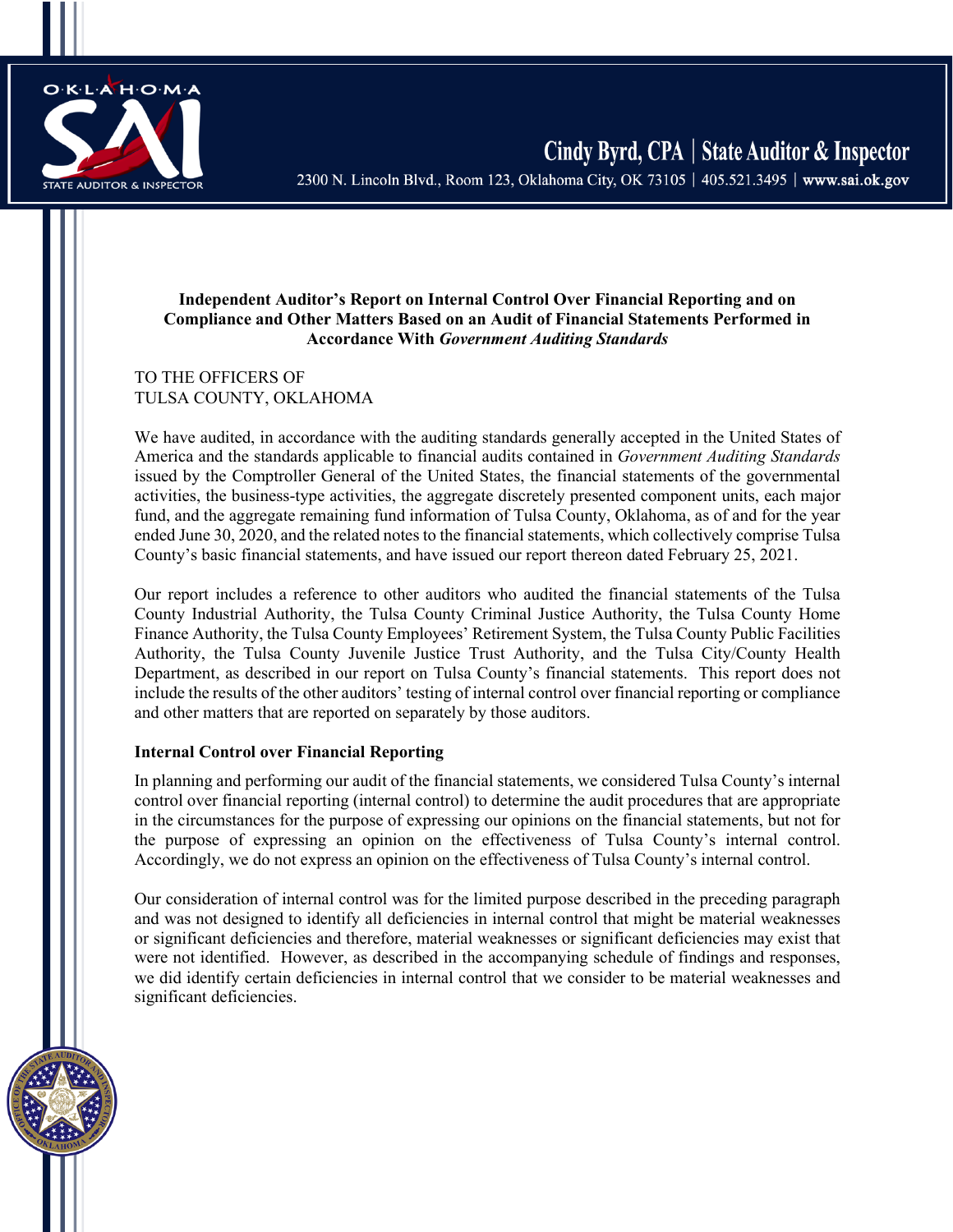

2300 N. Lincoln Blvd., Room 123, Oklahoma City, OK 73105 | 405.521.3495 | www.sai.ok.gov

## **Independent Auditor's Report on Internal Control Over Financial Reporting and on Compliance and Other Matters Based on an Audit of Financial Statements Performed in Accordance With** *Government Auditing Standards*

## TO THE OFFICERS OF TULSA COUNTY, OKLAHOMA

We have audited, in accordance with the auditing standards generally accepted in the United States of America and the standards applicable to financial audits contained in *Government Auditing Standards* issued by the Comptroller General of the United States, the financial statements of the governmental activities, the business-type activities, the aggregate discretely presented component units, each major fund, and the aggregate remaining fund information of Tulsa County, Oklahoma, as of and for the year ended June 30, 2020, and the related notes to the financial statements, which collectively comprise Tulsa County's basic financial statements, and have issued our report thereon dated February 25, 2021.

Our report includes a reference to other auditors who audited the financial statements of the Tulsa County Industrial Authority, the Tulsa County Criminal Justice Authority, the Tulsa County Home Finance Authority, the Tulsa County Employees' Retirement System, the Tulsa County Public Facilities Authority, the Tulsa County Juvenile Justice Trust Authority, and the Tulsa City/County Health Department, as described in our report on Tulsa County's financial statements. This report does not include the results of the other auditors' testing of internal control over financial reporting or compliance and other matters that are reported on separately by those auditors.

## **Internal Control over Financial Reporting**

In planning and performing our audit of the financial statements, we considered Tulsa County's internal control over financial reporting (internal control) to determine the audit procedures that are appropriate in the circumstances for the purpose of expressing our opinions on the financial statements, but not for the purpose of expressing an opinion on the effectiveness of Tulsa County's internal control. Accordingly, we do not express an opinion on the effectiveness of Tulsa County's internal control.

Our consideration of internal control was for the limited purpose described in the preceding paragraph and was not designed to identify all deficiencies in internal control that might be material weaknesses or significant deficiencies and therefore, material weaknesses or significant deficiencies may exist that were not identified. However, as described in the accompanying schedule of findings and responses, we did identify certain deficiencies in internal control that we consider to be material weaknesses and significant deficiencies.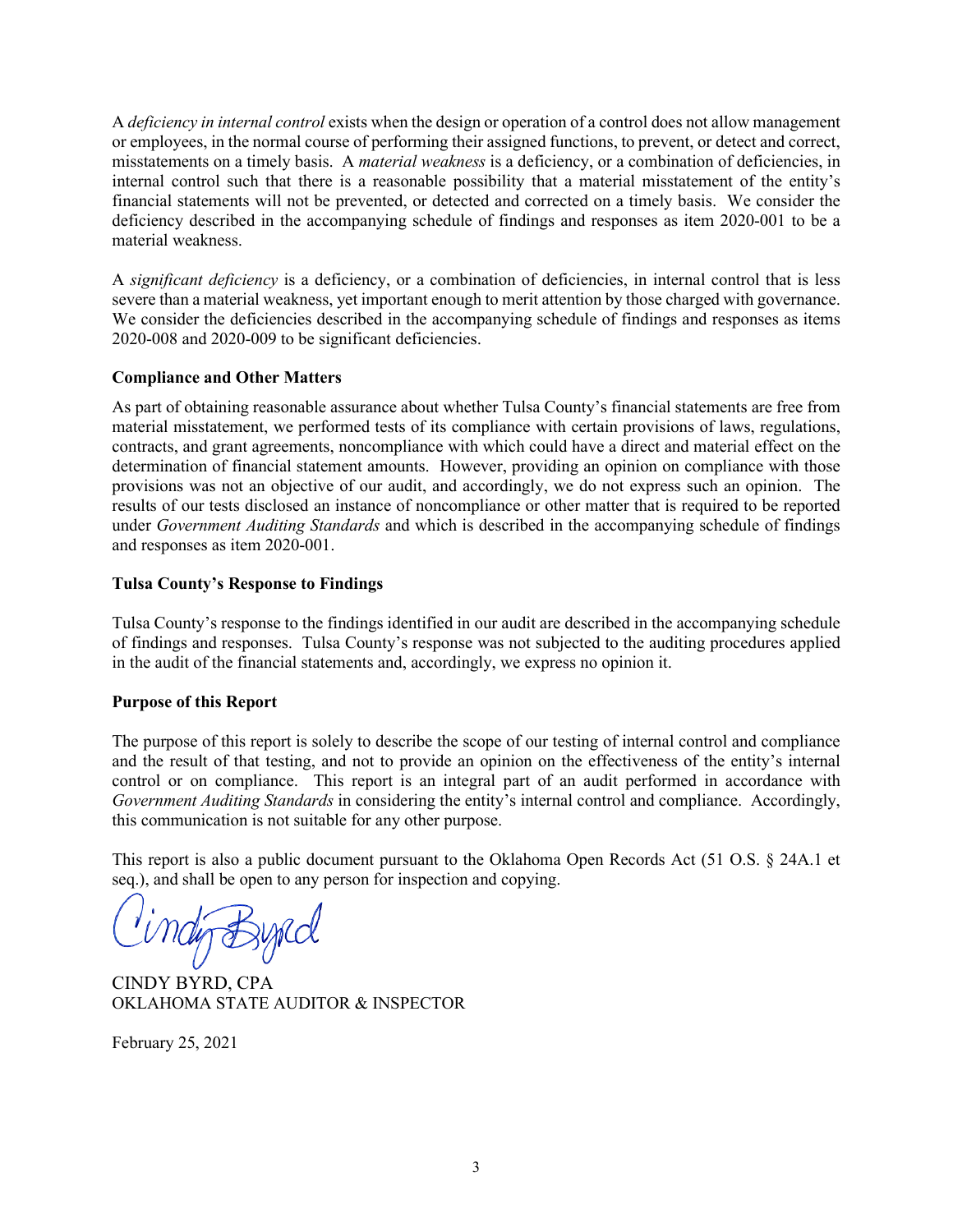A *deficiency in internal control* exists when the design or operation of a control does not allow management or employees, in the normal course of performing their assigned functions, to prevent, or detect and correct, misstatements on a timely basis. A *material weakness* is a deficiency, or a combination of deficiencies, in internal control such that there is a reasonable possibility that a material misstatement of the entity's financial statements will not be prevented, or detected and corrected on a timely basis. We consider the deficiency described in the accompanying schedule of findings and responses as item 2020-001 to be a material weakness.

A *significant deficiency* is a deficiency, or a combination of deficiencies, in internal control that is less severe than a material weakness, yet important enough to merit attention by those charged with governance. We consider the deficiencies described in the accompanying schedule of findings and responses as items 2020-008 and 2020-009 to be significant deficiencies.

## **Compliance and Other Matters**

As part of obtaining reasonable assurance about whether Tulsa County's financial statements are free from material misstatement, we performed tests of its compliance with certain provisions of laws, regulations, contracts, and grant agreements, noncompliance with which could have a direct and material effect on the determination of financial statement amounts. However, providing an opinion on compliance with those provisions was not an objective of our audit, and accordingly, we do not express such an opinion. The results of our tests disclosed an instance of noncompliance or other matter that is required to be reported under *Government Auditing Standards* and which is described in the accompanying schedule of findings and responses as item 2020-001.

## **Tulsa County's Response to Findings**

Tulsa County's response to the findings identified in our audit are described in the accompanying schedule of findings and responses. Tulsa County's response was not subjected to the auditing procedures applied in the audit of the financial statements and, accordingly, we express no opinion it.

# **Purpose of this Report**

The purpose of this report is solely to describe the scope of our testing of internal control and compliance and the result of that testing, and not to provide an opinion on the effectiveness of the entity's internal control or on compliance. This report is an integral part of an audit performed in accordance with *Government Auditing Standards* in considering the entity's internal control and compliance. Accordingly, this communication is not suitable for any other purpose.

This report is also a public document pursuant to the Oklahoma Open Records Act (51 O.S. § 24A.1 et seq.), and shall be open to any person for inspection and copying.

CINDY BYRD, CPA OKLAHOMA STATE AUDITOR & INSPECTOR

February 25, 2021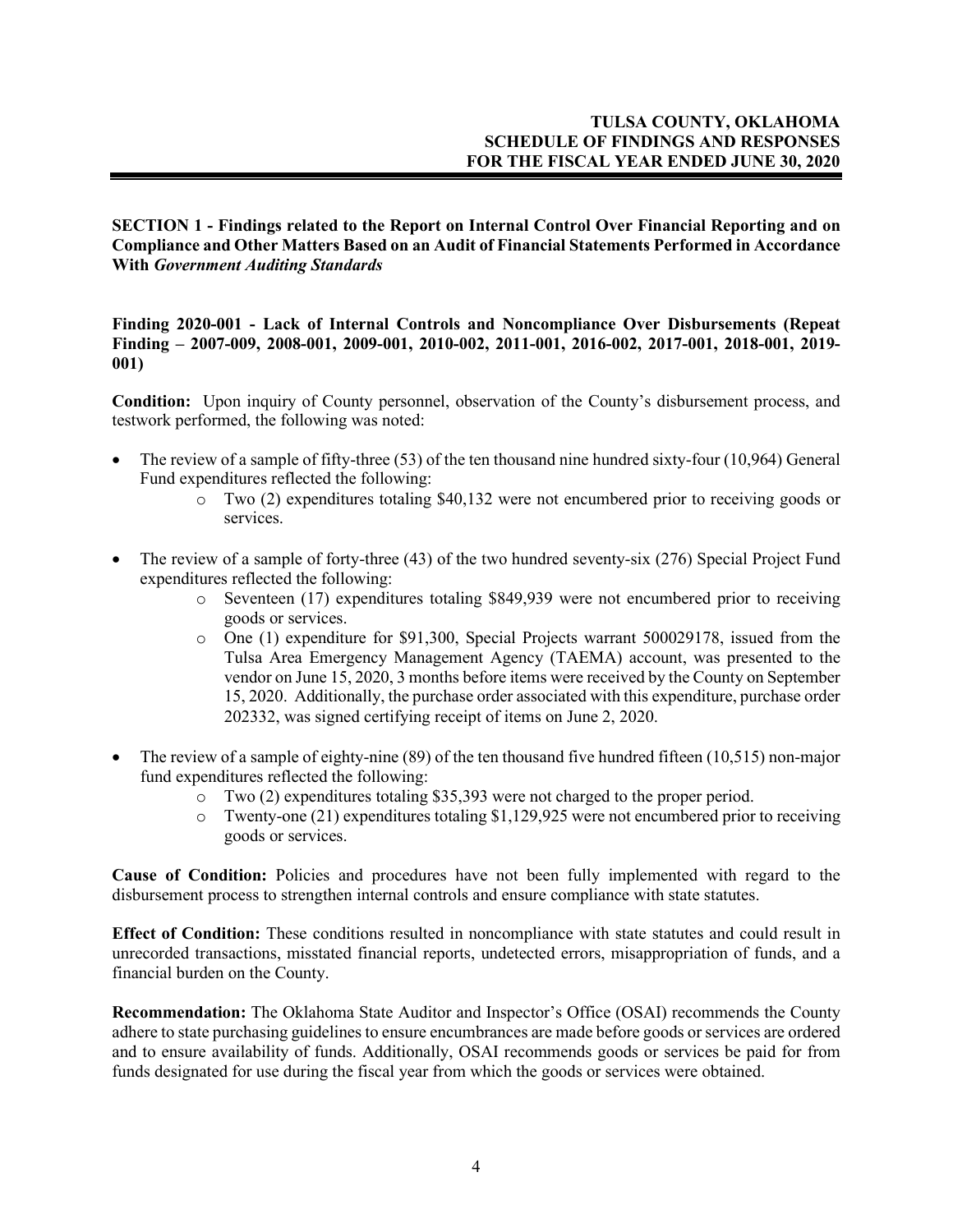**SECTION 1 - Findings related to the Report on Internal Control Over Financial Reporting and on Compliance and Other Matters Based on an Audit of Financial Statements Performed in Accordance With** *Government Auditing Standards* 

**Finding 2020-001 - Lack of Internal Controls and Noncompliance Over Disbursements (Repeat Finding – 2007-009, 2008-001, 2009-001, 2010-002, 2011-001, 2016-002, 2017-001, 2018-001, 2019- 001)**

**Condition:** Upon inquiry of County personnel, observation of the County's disbursement process, and testwork performed, the following was noted:

- The review of a sample of fifty-three (53) of the ten thousand nine hundred sixty-four (10,964) General Fund expenditures reflected the following:
	- $\circ$  Two (2) expenditures totaling \$40,132 were not encumbered prior to receiving goods or services.
- The review of a sample of forty-three (43) of the two hundred seventy-six (276) Special Project Fund expenditures reflected the following:
	- o Seventeen (17) expenditures totaling \$849,939 were not encumbered prior to receiving goods or services.
	- o One (1) expenditure for \$91,300, Special Projects warrant 500029178, issued from the Tulsa Area Emergency Management Agency (TAEMA) account, was presented to the vendor on June 15, 2020, 3 months before items were received by the County on September 15, 2020. Additionally, the purchase order associated with this expenditure, purchase order 202332, was signed certifying receipt of items on June 2, 2020.
- The review of a sample of eighty-nine (89) of the ten thousand five hundred fifteen (10,515) non-major fund expenditures reflected the following:
	- $\circ$  Two (2) expenditures totaling \$35,393 were not charged to the proper period.<br> $\circ$  Twenty-one (21) expenditures totaling \$1.129.925 were not encumbered prior
	- Twenty-one  $(21)$  expenditures totaling \$1,129,925 were not encumbered prior to receiving goods or services.

**Cause of Condition:** Policies and procedures have not been fully implemented with regard to the disbursement process to strengthen internal controls and ensure compliance with state statutes.

**Effect of Condition:** These conditions resulted in noncompliance with state statutes and could result in unrecorded transactions, misstated financial reports, undetected errors, misappropriation of funds, and a financial burden on the County.

**Recommendation:** The Oklahoma State Auditor and Inspector's Office (OSAI) recommends the County adhere to state purchasing guidelines to ensure encumbrances are made before goods or services are ordered and to ensure availability of funds. Additionally, OSAI recommends goods or services be paid for from funds designated for use during the fiscal year from which the goods or services were obtained.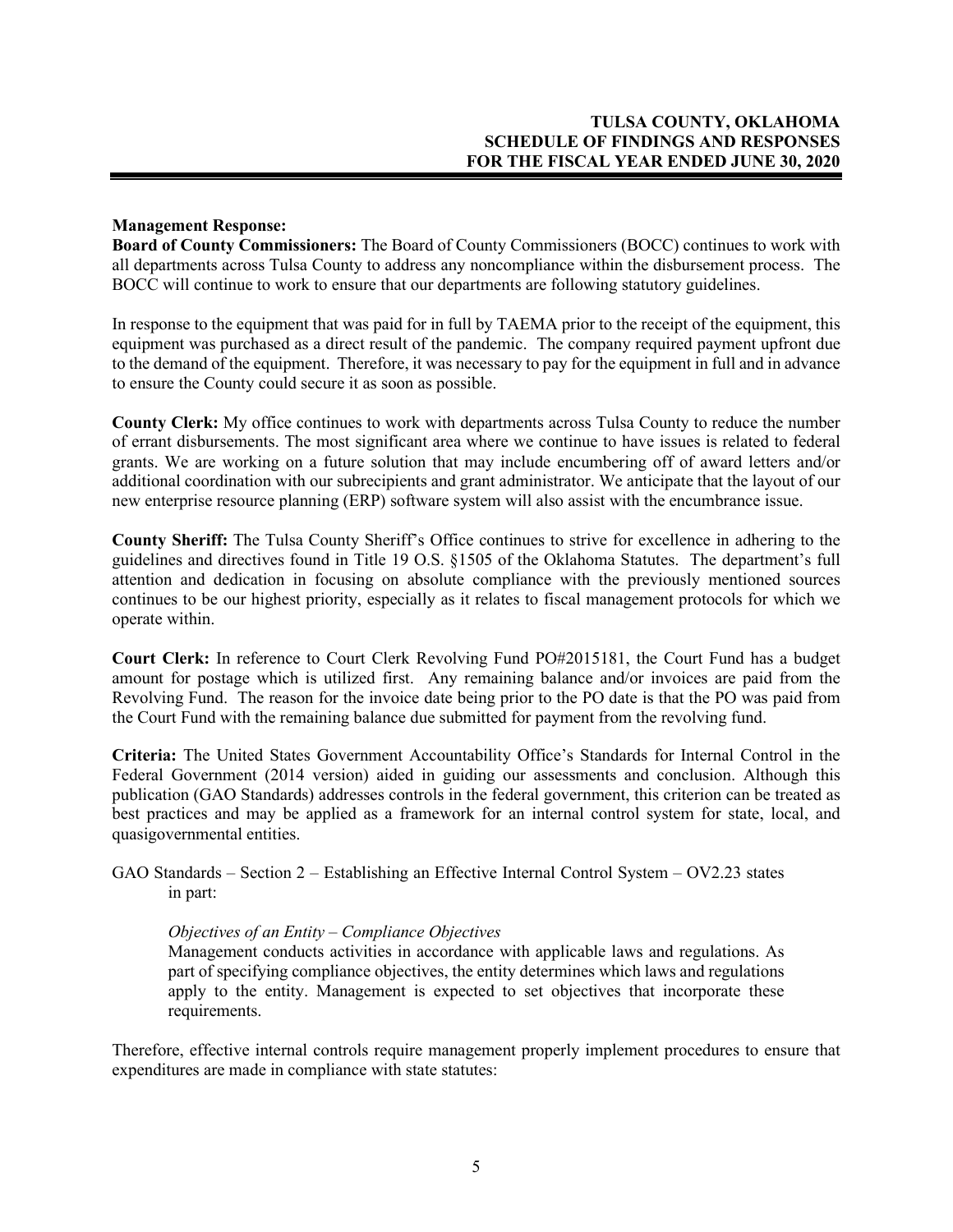## **Management Response:**

**Board of County Commissioners:** The Board of County Commissioners (BOCC) continues to work with all departments across Tulsa County to address any noncompliance within the disbursement process. The BOCC will continue to work to ensure that our departments are following statutory guidelines.

In response to the equipment that was paid for in full by TAEMA prior to the receipt of the equipment, this equipment was purchased as a direct result of the pandemic. The company required payment upfront due to the demand of the equipment. Therefore, it was necessary to pay for the equipment in full and in advance to ensure the County could secure it as soon as possible.

**County Clerk:** My office continues to work with departments across Tulsa County to reduce the number of errant disbursements. The most significant area where we continue to have issues is related to federal grants. We are working on a future solution that may include encumbering off of award letters and/or additional coordination with our subrecipients and grant administrator. We anticipate that the layout of our new enterprise resource planning (ERP) software system will also assist with the encumbrance issue.

**County Sheriff:** The Tulsa County Sheriff's Office continues to strive for excellence in adhering to the guidelines and directives found in Title 19 O.S. §1505 of the Oklahoma Statutes. The department's full attention and dedication in focusing on absolute compliance with the previously mentioned sources continues to be our highest priority, especially as it relates to fiscal management protocols for which we operate within.

**Court Clerk:** In reference to Court Clerk Revolving Fund PO#2015181, the Court Fund has a budget amount for postage which is utilized first. Any remaining balance and/or invoices are paid from the Revolving Fund. The reason for the invoice date being prior to the PO date is that the PO was paid from the Court Fund with the remaining balance due submitted for payment from the revolving fund.

**Criteria:** The United States Government Accountability Office's Standards for Internal Control in the Federal Government (2014 version) aided in guiding our assessments and conclusion. Although this publication (GAO Standards) addresses controls in the federal government, this criterion can be treated as best practices and may be applied as a framework for an internal control system for state, local, and quasigovernmental entities.

GAO Standards – Section 2 – Establishing an Effective Internal Control System – OV2.23 states in part:

## *Objectives of an Entity – Compliance Objectives*

Management conducts activities in accordance with applicable laws and regulations. As part of specifying compliance objectives, the entity determines which laws and regulations apply to the entity. Management is expected to set objectives that incorporate these requirements.

Therefore, effective internal controls require management properly implement procedures to ensure that expenditures are made in compliance with state statutes: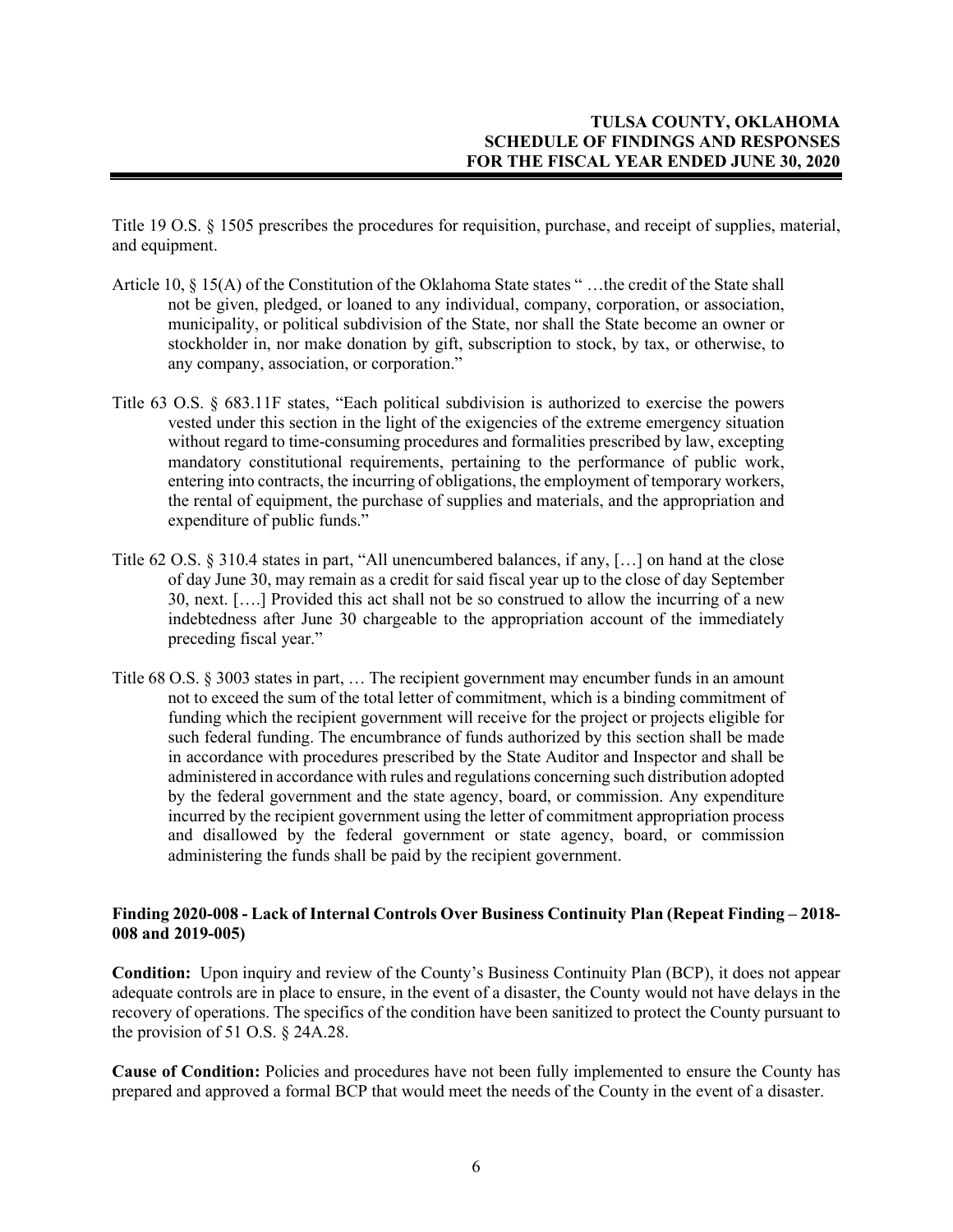Title 19 O.S. § 1505 prescribes the procedures for requisition, purchase, and receipt of supplies, material, and equipment.

- Article 10, § 15(A) of the Constitution of the Oklahoma State states " …the credit of the State shall not be given, pledged, or loaned to any individual, company, corporation, or association, municipality, or political subdivision of the State, nor shall the State become an owner or stockholder in, nor make donation by gift, subscription to stock, by tax, or otherwise, to any company, association, or corporation."
- Title 63 O.S. § 683.11F states, "Each political subdivision is authorized to exercise the powers vested under this section in the light of the exigencies of the extreme emergency situation without regard to time-consuming procedures and formalities prescribed by law, excepting mandatory constitutional requirements, pertaining to the performance of public work, entering into contracts, the incurring of obligations, the employment of temporary workers, the rental of equipment, the purchase of supplies and materials, and the appropriation and expenditure of public funds."
- Title 62 O.S. § 310.4 states in part, "All unencumbered balances, if any, […] on hand at the close of day June 30, may remain as a credit for said fiscal year up to the close of day September 30, next. [….] Provided this act shall not be so construed to allow the incurring of a new indebtedness after June 30 chargeable to the appropriation account of the immediately preceding fiscal year."
- Title 68 O.S. § 3003 states in part, … The recipient government may encumber funds in an amount not to exceed the sum of the total letter of commitment, which is a binding commitment of funding which the recipient government will receive for the project or projects eligible for such federal funding. The encumbrance of funds authorized by this section shall be made in accordance with procedures prescribed by the State Auditor and Inspector and shall be administered in accordance with rules and regulations concerning such distribution adopted by the federal government and the state agency, board, or commission. Any expenditure incurred by the recipient government using the letter of commitment appropriation process and disallowed by the federal government or state agency, board, or commission administering the funds shall be paid by the recipient government.

## **Finding 2020-008 - Lack of Internal Controls Over Business Continuity Plan (Repeat Finding – 2018- 008 and 2019-005)**

**Condition:** Upon inquiry and review of the County's Business Continuity Plan (BCP), it does not appear adequate controls are in place to ensure, in the event of a disaster, the County would not have delays in the recovery of operations. The specifics of the condition have been sanitized to protect the County pursuant to the provision of 51 O.S. § 24A.28.

**Cause of Condition:** Policies and procedures have not been fully implemented to ensure the County has prepared and approved a formal BCP that would meet the needs of the County in the event of a disaster.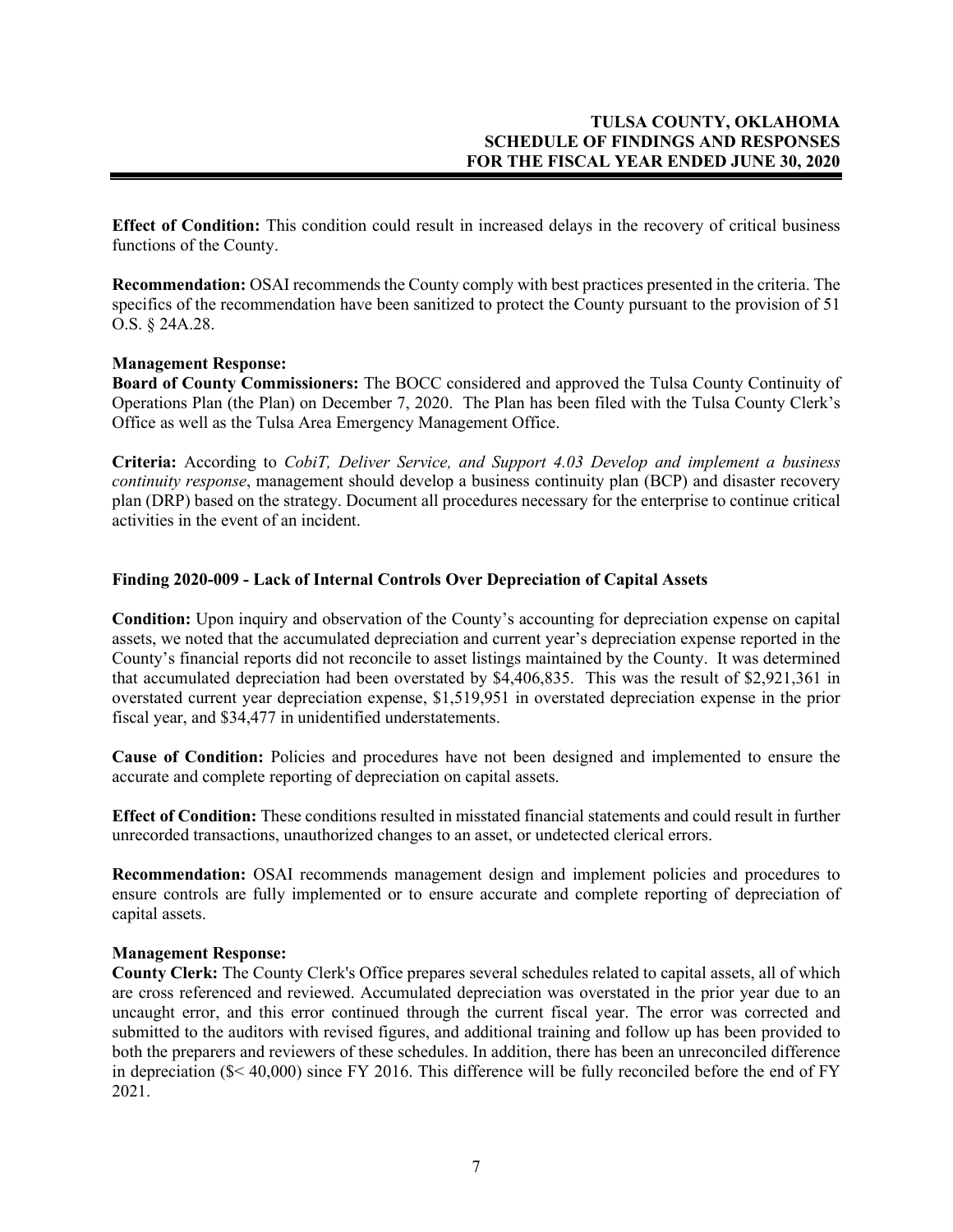**Effect of Condition:** This condition could result in increased delays in the recovery of critical business functions of the County.

**Recommendation:** OSAI recommends the County comply with best practices presented in the criteria. The specifics of the recommendation have been sanitized to protect the County pursuant to the provision of 51 O.S. § 24A.28.

## **Management Response:**

**Board of County Commissioners:** The BOCC considered and approved the Tulsa County Continuity of Operations Plan (the Plan) on December 7, 2020. The Plan has been filed with the Tulsa County Clerk's Office as well as the Tulsa Area Emergency Management Office.

**Criteria:** According to *CobiT, Deliver Service, and Support 4.03 Develop and implement a business continuity response*, management should develop a business continuity plan (BCP) and disaster recovery plan (DRP) based on the strategy. Document all procedures necessary for the enterprise to continue critical activities in the event of an incident.

## **Finding 2020-009 - Lack of Internal Controls Over Depreciation of Capital Assets**

**Condition:** Upon inquiry and observation of the County's accounting for depreciation expense on capital assets, we noted that the accumulated depreciation and current year's depreciation expense reported in the County's financial reports did not reconcile to asset listings maintained by the County. It was determined that accumulated depreciation had been overstated by \$4,406,835. This was the result of \$2,921,361 in overstated current year depreciation expense, \$1,519,951 in overstated depreciation expense in the prior fiscal year, and \$34,477 in unidentified understatements.

**Cause of Condition:** Policies and procedures have not been designed and implemented to ensure the accurate and complete reporting of depreciation on capital assets.

**Effect of Condition:** These conditions resulted in misstated financial statements and could result in further unrecorded transactions, unauthorized changes to an asset, or undetected clerical errors.

**Recommendation:** OSAI recommends management design and implement policies and procedures to ensure controls are fully implemented or to ensure accurate and complete reporting of depreciation of capital assets.

#### **Management Response:**

**County Clerk:** The County Clerk's Office prepares several schedules related to capital assets, all of which are cross referenced and reviewed. Accumulated depreciation was overstated in the prior year due to an uncaught error, and this error continued through the current fiscal year. The error was corrected and submitted to the auditors with revised figures, and additional training and follow up has been provided to both the preparers and reviewers of these schedules. In addition, there has been an unreconciled difference in depreciation (\$< 40,000) since FY 2016. This difference will be fully reconciled before the end of FY 2021.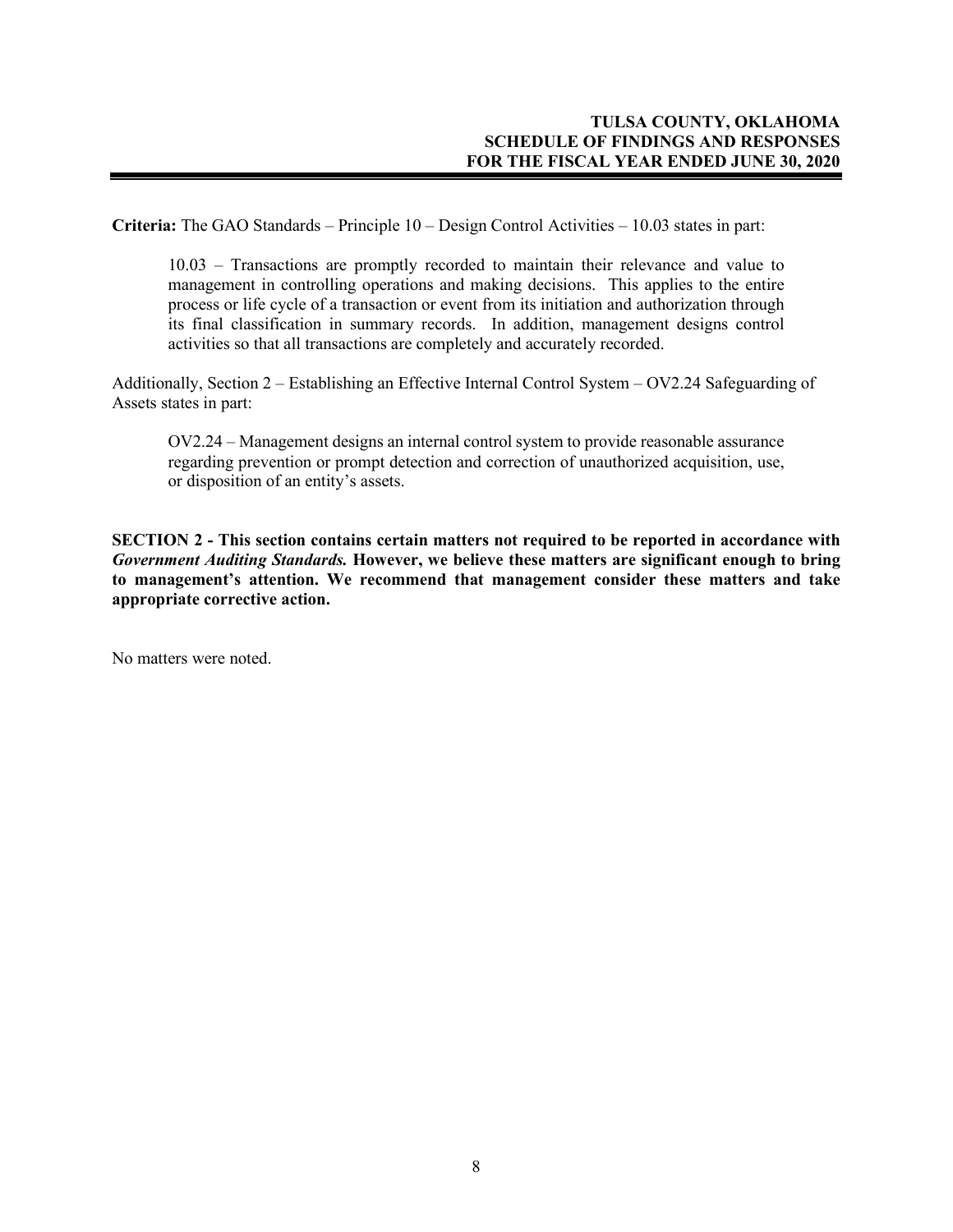**Criteria:** The GAO Standards – Principle 10 – Design Control Activities – 10.03 states in part:

10.03 – Transactions are promptly recorded to maintain their relevance and value to management in controlling operations and making decisions. This applies to the entire process or life cycle of a transaction or event from its initiation and authorization through its final classification in summary records. In addition, management designs control activities so that all transactions are completely and accurately recorded.

Additionally, Section 2 – Establishing an Effective Internal Control System – OV2.24 Safeguarding of Assets states in part:

OV2.24 – Management designs an internal control system to provide reasonable assurance regarding prevention or prompt detection and correction of unauthorized acquisition, use, or disposition of an entity's assets.

**SECTION 2 - This section contains certain matters not required to be reported in accordance with**  *Government Auditing Standards.* **However, we believe these matters are significant enough to bring to management's attention. We recommend that management consider these matters and take appropriate corrective action.**

No matters were noted.